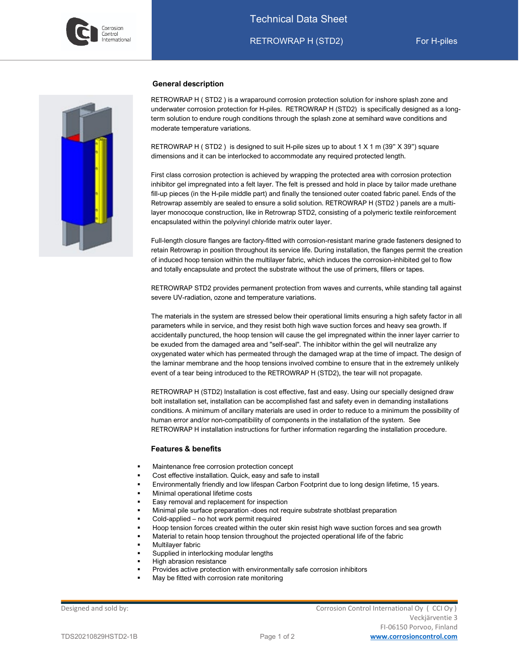

l



## **General description**

RETROWRAP H ( STD2 ) is a wraparound corrosion protection solution for inshore splash zone and underwater corrosion protection for H-piles. RETROWRAP H (STD2) is specifically designed as a longterm solution to endure rough conditions through the splash zone at semihard wave conditions and moderate temperature variations.

RETROWRAP H ( STD2 ) is designed to suit H-pile sizes up to about 1 X 1 m (39" X 39") square dimensions and it can be interlocked to accommodate any required protected length.

First class corrosion protection is achieved by wrapping the protected area with corrosion protection inhibitor gel impregnated into a felt layer. The felt is pressed and hold in place by tailor made urethane fill-up pieces (in the H-pile middle part) and finally the tensioned outer coated fabric panel. Ends of the Retrowrap assembly are sealed to ensure a solid solution. RETROWRAP H (STD2 ) panels are a multilayer monocoque construction, like in Retrowrap STD2, consisting of a polymeric textile reinforcement encapsulated within the polyvinyl chloride matrix outer layer.

Full-length closure flanges are factory-fitted with corrosion-resistant marine grade fasteners designed to retain Retrowrap in position throughout its service life. During installation, the flanges permit the creation of induced hoop tension within the multilayer fabric, which induces the corrosion-inhibited gel to flow and totally encapsulate and protect the substrate without the use of primers, fillers or tapes.

RETROWRAP STD2 provides permanent protection from waves and currents, while standing tall against severe UV-radiation, ozone and temperature variations.

The materials in the system are stressed below their operational limits ensuring a high safety factor in all parameters while in service, and they resist both high wave suction forces and heavy sea growth. If accidentally punctured, the hoop tension will cause the gel impregnated within the inner layer carrier to be exuded from the damaged area and "self-seal". The inhibitor within the gel will neutralize any oxygenated water which has permeated through the damaged wrap at the time of impact. The design of the laminar membrane and the hoop tensions involved combine to ensure that in the extremely unlikely event of a tear being introduced to the RETROWRAP H (STD2), the tear will not propagate.

RETROWRAP H (STD2) Installation is cost effective, fast and easy. Using our specially designed draw bolt installation set, installation can be accomplished fast and safety even in demanding installations conditions. A minimum of ancillary materials are used in order to reduce to a minimum the possibility of human error and/or non-compatibility of components in the installation of the system. See RETROWRAP H installation instructions for further information regarding the installation procedure.

### **Features & benefits**

- Maintenance free corrosion protection concept
- Cost effective installation. Quick, easy and safe to install
- Environmentally friendly and low lifespan Carbon Footprint due to long design lifetime, 15 years.
- Minimal operational lifetime costs
- Easy removal and replacement for inspection
- Minimal pile surface preparation -does not require substrate shotblast preparation
- Cold-applied no hot work permit required
- Hoop tension forces created within the outer skin resist high wave suction forces and sea growth
- Material to retain hoop tension throughout the projected operational life of the fabric
- Multilayer fabric
- Supplied in interlocking modular lengths
- High abrasion resistance
- Provides active protection with environmentally safe corrosion inhibitors
- May be fitted with corrosion rate monitoring